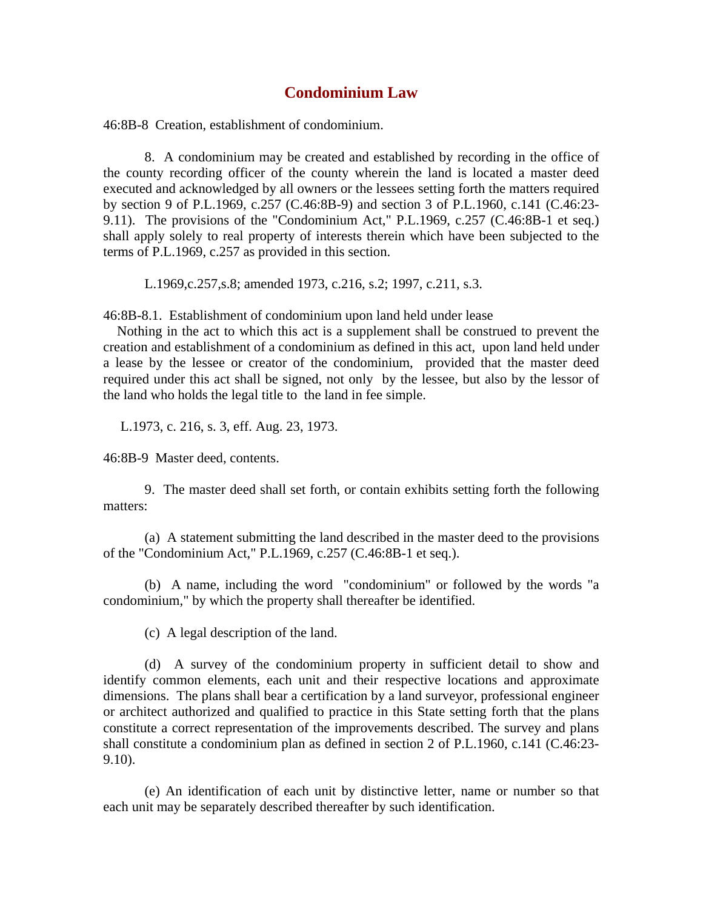## **Condominium Law**

46:8B-8 Creation, establishment of condominium.

 8. A condominium may be created and established by recording in the office of the county recording officer of the county wherein the land is located a master deed executed and acknowledged by all owners or the lessees setting forth the matters required by section 9 of P.L.1969, c.257 (C.46:8B-9) and section 3 of P.L.1960, c.141 (C.46:23- 9.11). The provisions of the "Condominium Act," P.L.1969, c.257 (C.46:8B-1 et seq.) shall apply solely to real property of interests therein which have been subjected to the terms of P.L.1969, c.257 as provided in this section.

L.1969,c.257,s.8; amended 1973, c.216, s.2; 1997, c.211, s.3.

46:8B-8.1. Establishment of condominium upon land held under lease

 Nothing in the act to which this act is a supplement shall be construed to prevent the creation and establishment of a condominium as defined in this act, upon land held under a lease by the lessee or creator of the condominium, provided that the master deed required under this act shall be signed, not only by the lessee, but also by the lessor of the land who holds the legal title to the land in fee simple.

L.1973, c. 216, s. 3, eff. Aug. 23, 1973.

46:8B-9 Master deed, contents.

 9. The master deed shall set forth, or contain exhibits setting forth the following matters:

 (a) A statement submitting the land described in the master deed to the provisions of the "Condominium Act," P.L.1969, c.257 (C.46:8B-1 et seq.).

 (b) A name, including the word "condominium" or followed by the words "a condominium," by which the property shall thereafter be identified.

(c) A legal description of the land.

 (d) A survey of the condominium property in sufficient detail to show and identify common elements, each unit and their respective locations and approximate dimensions. The plans shall bear a certification by a land surveyor, professional engineer or architect authorized and qualified to practice in this State setting forth that the plans constitute a correct representation of the improvements described. The survey and plans shall constitute a condominium plan as defined in section 2 of P.L.1960, c.141 (C.46:23- 9.10).

 (e) An identification of each unit by distinctive letter, name or number so that each unit may be separately described thereafter by such identification.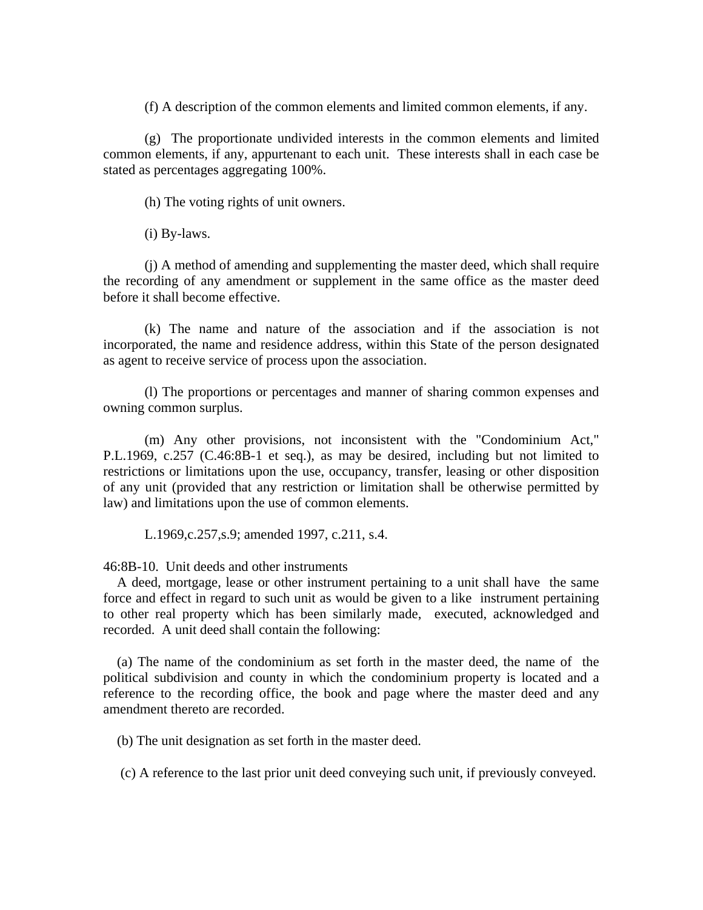(f) A description of the common elements and limited common elements, if any.

 (g) The proportionate undivided interests in the common elements and limited common elements, if any, appurtenant to each unit. These interests shall in each case be stated as percentages aggregating 100%.

(h) The voting rights of unit owners.

(i) By-laws.

 (j) A method of amending and supplementing the master deed, which shall require the recording of any amendment or supplement in the same office as the master deed before it shall become effective.

 (k) The name and nature of the association and if the association is not incorporated, the name and residence address, within this State of the person designated as agent to receive service of process upon the association.

 (l) The proportions or percentages and manner of sharing common expenses and owning common surplus.

 (m) Any other provisions, not inconsistent with the "Condominium Act," P.L.1969, c.257 (C.46:8B-1 et seq.), as may be desired, including but not limited to restrictions or limitations upon the use, occupancy, transfer, leasing or other disposition of any unit (provided that any restriction or limitation shall be otherwise permitted by law) and limitations upon the use of common elements.

L.1969,c.257,s.9; amended 1997, c.211, s.4.

46:8B-10. Unit deeds and other instruments

 A deed, mortgage, lease or other instrument pertaining to a unit shall have the same force and effect in regard to such unit as would be given to a like instrument pertaining to other real property which has been similarly made, executed, acknowledged and recorded. A unit deed shall contain the following:

 (a) The name of the condominium as set forth in the master deed, the name of the political subdivision and county in which the condominium property is located and a reference to the recording office, the book and page where the master deed and any amendment thereto are recorded.

(b) The unit designation as set forth in the master deed.

(c) A reference to the last prior unit deed conveying such unit, if previously conveyed.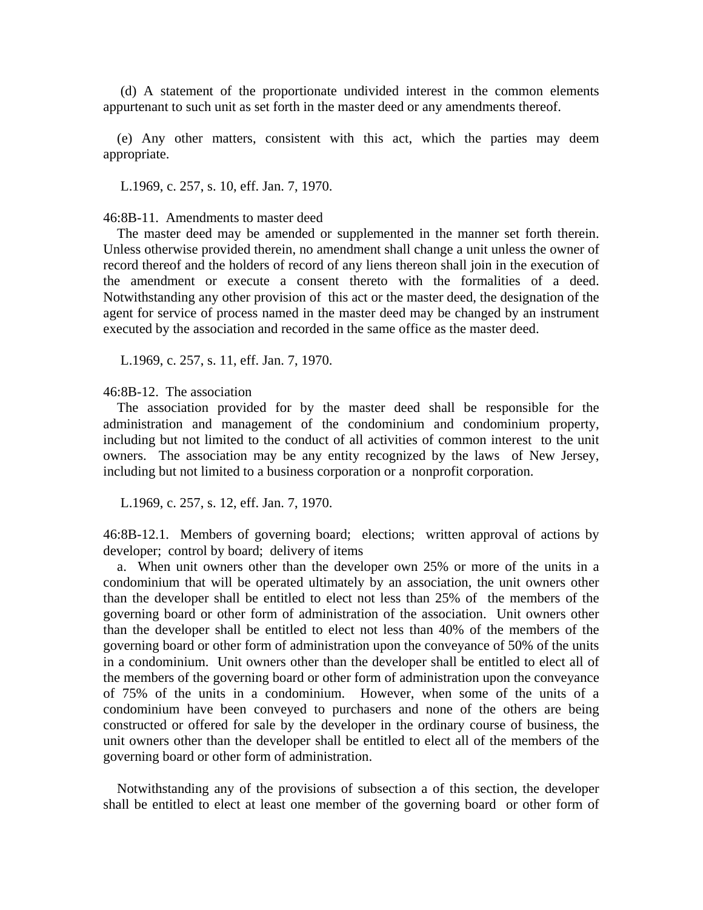(d) A statement of the proportionate undivided interest in the common elements appurtenant to such unit as set forth in the master deed or any amendments thereof.

 (e) Any other matters, consistent with this act, which the parties may deem appropriate.

L.1969, c. 257, s. 10, eff. Jan. 7, 1970.

46:8B-11. Amendments to master deed

 The master deed may be amended or supplemented in the manner set forth therein. Unless otherwise provided therein, no amendment shall change a unit unless the owner of record thereof and the holders of record of any liens thereon shall join in the execution of the amendment or execute a consent thereto with the formalities of a deed. Notwithstanding any other provision of this act or the master deed, the designation of the agent for service of process named in the master deed may be changed by an instrument executed by the association and recorded in the same office as the master deed.

L.1969, c. 257, s. 11, eff. Jan. 7, 1970.

46:8B-12. The association

 The association provided for by the master deed shall be responsible for the administration and management of the condominium and condominium property, including but not limited to the conduct of all activities of common interest to the unit owners. The association may be any entity recognized by the laws of New Jersey, including but not limited to a business corporation or a nonprofit corporation.

L.1969, c. 257, s. 12, eff. Jan. 7, 1970.

46:8B-12.1. Members of governing board; elections; written approval of actions by developer; control by board; delivery of items

 a. When unit owners other than the developer own 25% or more of the units in a condominium that will be operated ultimately by an association, the unit owners other than the developer shall be entitled to elect not less than 25% of the members of the governing board or other form of administration of the association. Unit owners other than the developer shall be entitled to elect not less than 40% of the members of the governing board or other form of administration upon the conveyance of 50% of the units in a condominium. Unit owners other than the developer shall be entitled to elect all of the members of the governing board or other form of administration upon the conveyance of 75% of the units in a condominium. However, when some of the units of a condominium have been conveyed to purchasers and none of the others are being constructed or offered for sale by the developer in the ordinary course of business, the unit owners other than the developer shall be entitled to elect all of the members of the governing board or other form of administration.

 Notwithstanding any of the provisions of subsection a of this section, the developer shall be entitled to elect at least one member of the governing board or other form of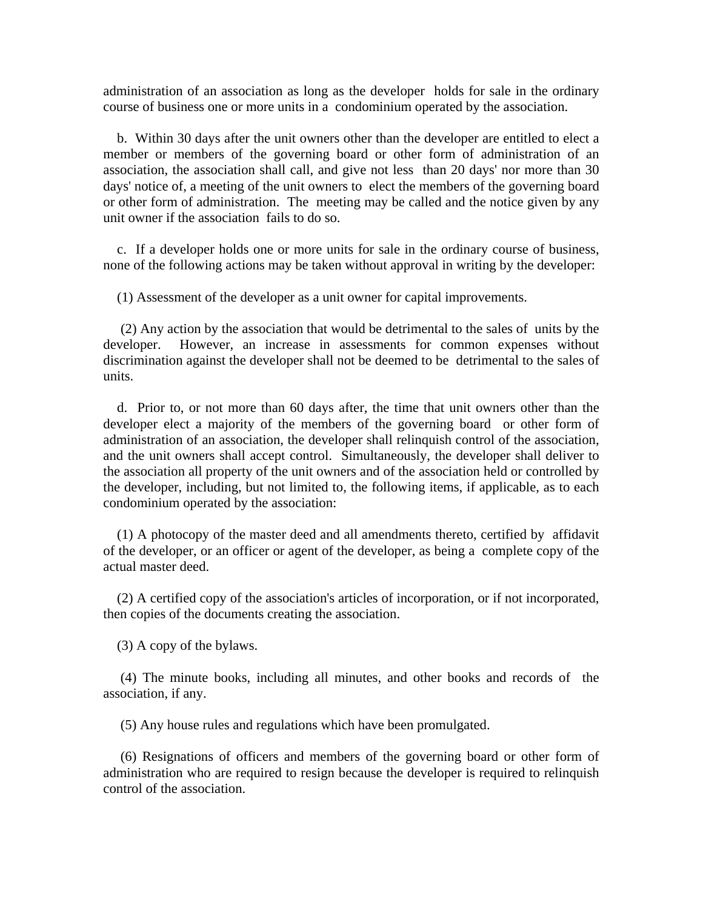administration of an association as long as the developer holds for sale in the ordinary course of business one or more units in a condominium operated by the association.

 b. Within 30 days after the unit owners other than the developer are entitled to elect a member or members of the governing board or other form of administration of an association, the association shall call, and give not less than 20 days' nor more than 30 days' notice of, a meeting of the unit owners to elect the members of the governing board or other form of administration. The meeting may be called and the notice given by any unit owner if the association fails to do so.

 c. If a developer holds one or more units for sale in the ordinary course of business, none of the following actions may be taken without approval in writing by the developer:

(1) Assessment of the developer as a unit owner for capital improvements.

 (2) Any action by the association that would be detrimental to the sales of units by the developer. However, an increase in assessments for common expenses without discrimination against the developer shall not be deemed to be detrimental to the sales of units.

 d. Prior to, or not more than 60 days after, the time that unit owners other than the developer elect a majority of the members of the governing board or other form of administration of an association, the developer shall relinquish control of the association, and the unit owners shall accept control. Simultaneously, the developer shall deliver to the association all property of the unit owners and of the association held or controlled by the developer, including, but not limited to, the following items, if applicable, as to each condominium operated by the association:

 (1) A photocopy of the master deed and all amendments thereto, certified by affidavit of the developer, or an officer or agent of the developer, as being a complete copy of the actual master deed.

 (2) A certified copy of the association's articles of incorporation, or if not incorporated, then copies of the documents creating the association.

(3) A copy of the bylaws.

 (4) The minute books, including all minutes, and other books and records of the association, if any.

(5) Any house rules and regulations which have been promulgated.

 (6) Resignations of officers and members of the governing board or other form of administration who are required to resign because the developer is required to relinquish control of the association.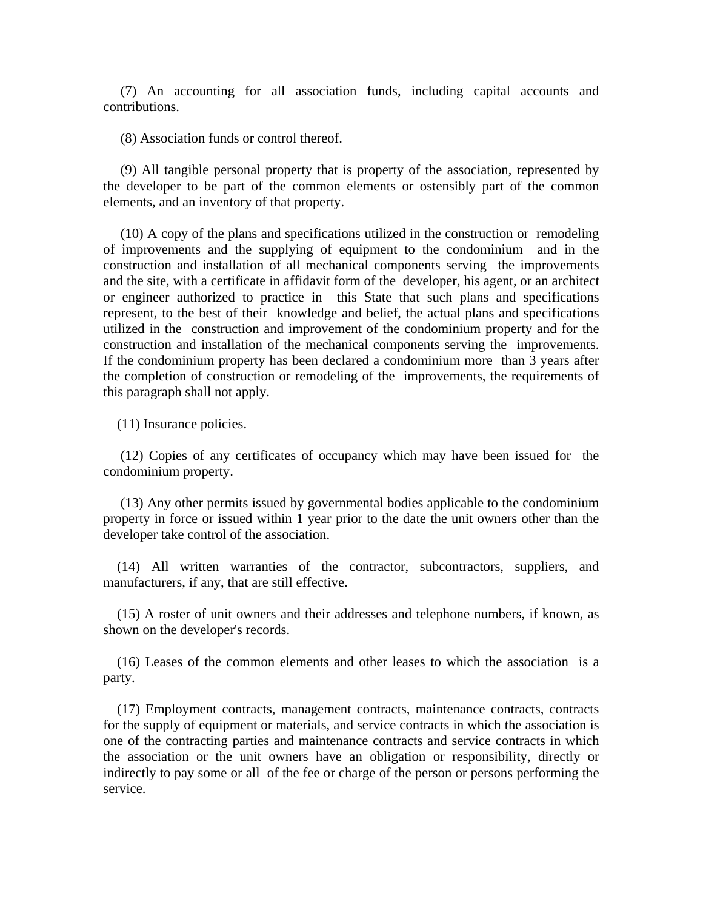(7) An accounting for all association funds, including capital accounts and contributions.

(8) Association funds or control thereof.

 (9) All tangible personal property that is property of the association, represented by the developer to be part of the common elements or ostensibly part of the common elements, and an inventory of that property.

 (10) A copy of the plans and specifications utilized in the construction or remodeling of improvements and the supplying of equipment to the condominium and in the construction and installation of all mechanical components serving the improvements and the site, with a certificate in affidavit form of the developer, his agent, or an architect or engineer authorized to practice in this State that such plans and specifications represent, to the best of their knowledge and belief, the actual plans and specifications utilized in the construction and improvement of the condominium property and for the construction and installation of the mechanical components serving the improvements. If the condominium property has been declared a condominium more than 3 years after the completion of construction or remodeling of the improvements, the requirements of this paragraph shall not apply.

(11) Insurance policies.

 (12) Copies of any certificates of occupancy which may have been issued for the condominium property.

 (13) Any other permits issued by governmental bodies applicable to the condominium property in force or issued within 1 year prior to the date the unit owners other than the developer take control of the association.

 (14) All written warranties of the contractor, subcontractors, suppliers, and manufacturers, if any, that are still effective.

 (15) A roster of unit owners and their addresses and telephone numbers, if known, as shown on the developer's records.

 (16) Leases of the common elements and other leases to which the association is a party.

 (17) Employment contracts, management contracts, maintenance contracts, contracts for the supply of equipment or materials, and service contracts in which the association is one of the contracting parties and maintenance contracts and service contracts in which the association or the unit owners have an obligation or responsibility, directly or indirectly to pay some or all of the fee or charge of the person or persons performing the service.